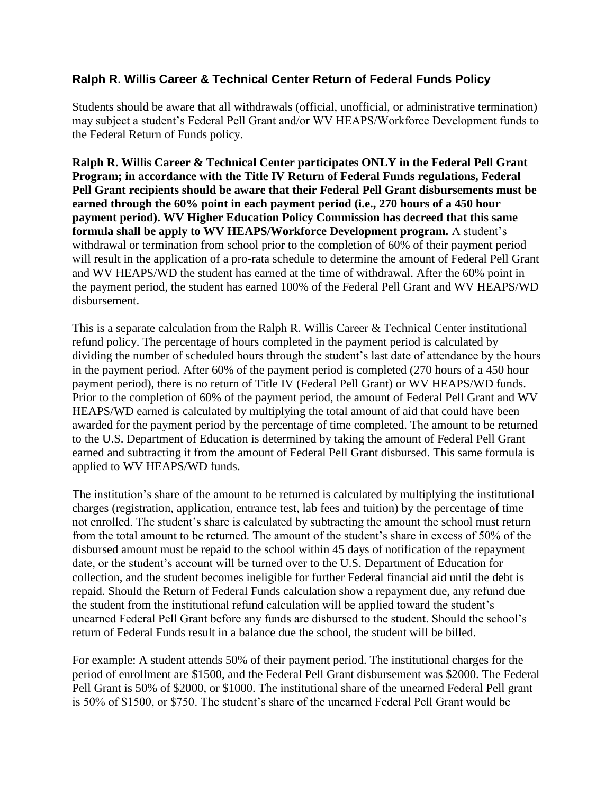## **Ralph R. Willis Career & Technical Center Return of Federal Funds Policy**

Students should be aware that all withdrawals (official, unofficial, or administrative termination) may subject a student's Federal Pell Grant and/or WV HEAPS/Workforce Development funds to the Federal Return of Funds policy.

**Ralph R. Willis Career & Technical Center participates ONLY in the Federal Pell Grant Program; in accordance with the Title IV Return of Federal Funds regulations, Federal Pell Grant recipients should be aware that their Federal Pell Grant disbursements must be earned through the 60% point in each payment period (i.e., 270 hours of a 450 hour payment period). WV Higher Education Policy Commission has decreed that this same formula shall be apply to WV HEAPS/Workforce Development program.** A student's withdrawal or termination from school prior to the completion of 60% of their payment period will result in the application of a pro-rata schedule to determine the amount of Federal Pell Grant and WV HEAPS/WD the student has earned at the time of withdrawal. After the 60% point in the payment period, the student has earned 100% of the Federal Pell Grant and WV HEAPS/WD disbursement.

This is a separate calculation from the Ralph R. Willis Career & Technical Center institutional refund policy. The percentage of hours completed in the payment period is calculated by dividing the number of scheduled hours through the student's last date of attendance by the hours in the payment period. After 60% of the payment period is completed (270 hours of a 450 hour payment period), there is no return of Title IV (Federal Pell Grant) or WV HEAPS/WD funds. Prior to the completion of 60% of the payment period, the amount of Federal Pell Grant and WV HEAPS/WD earned is calculated by multiplying the total amount of aid that could have been awarded for the payment period by the percentage of time completed. The amount to be returned to the U.S. Department of Education is determined by taking the amount of Federal Pell Grant earned and subtracting it from the amount of Federal Pell Grant disbursed. This same formula is applied to WV HEAPS/WD funds.

The institution's share of the amount to be returned is calculated by multiplying the institutional charges (registration, application, entrance test, lab fees and tuition) by the percentage of time not enrolled. The student's share is calculated by subtracting the amount the school must return from the total amount to be returned. The amount of the student's share in excess of 50% of the disbursed amount must be repaid to the school within 45 days of notification of the repayment date, or the student's account will be turned over to the U.S. Department of Education for collection, and the student becomes ineligible for further Federal financial aid until the debt is repaid. Should the Return of Federal Funds calculation show a repayment due, any refund due the student from the institutional refund calculation will be applied toward the student's unearned Federal Pell Grant before any funds are disbursed to the student. Should the school's return of Federal Funds result in a balance due the school, the student will be billed.

For example: A student attends 50% of their payment period. The institutional charges for the period of enrollment are \$1500, and the Federal Pell Grant disbursement was \$2000. The Federal Pell Grant is 50% of \$2000, or \$1000. The institutional share of the unearned Federal Pell grant is 50% of \$1500, or \$750. The student's share of the unearned Federal Pell Grant would be